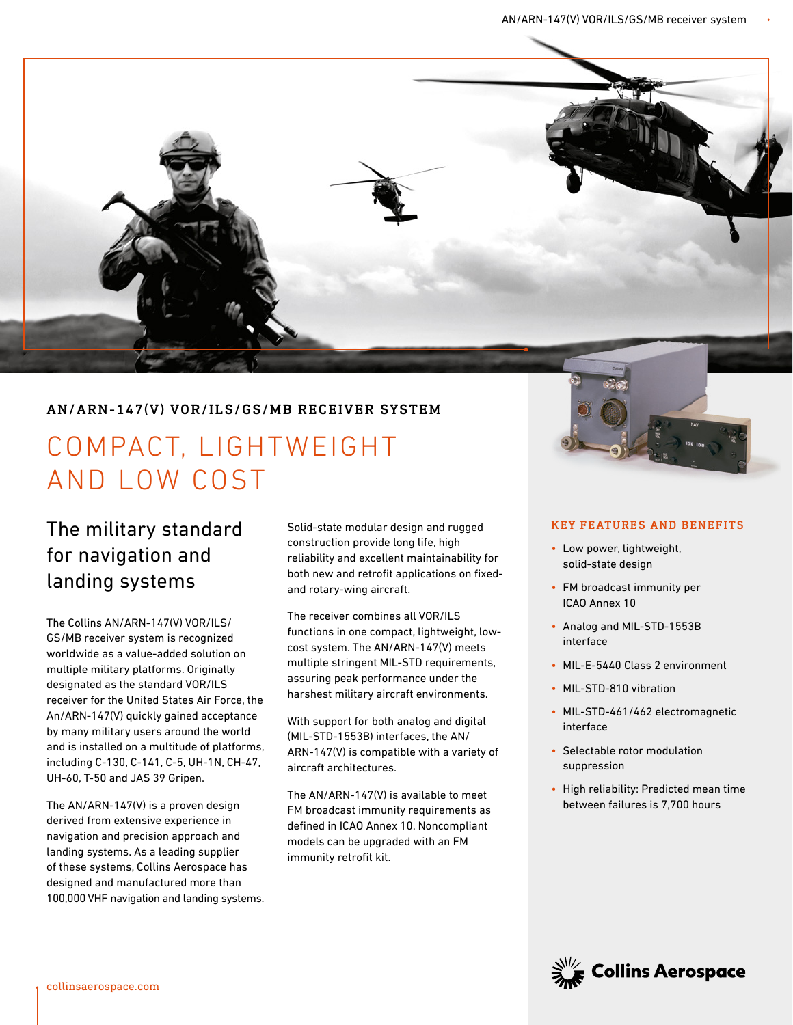

### AN/ARN-147(V) VOR/ILS/GS/MB RECEIVER SYSTEM

# COMPACT, LIGHTWEIGHT AND LOW COST

# The military standard for navigation and landing systems

The Collins AN/ARN-147(V) VOR/ILS/ GS/MB receiver system is recognized worldwide as a value-added solution on multiple military platforms. Originally designated as the standard VOR/ILS receiver for the United States Air Force, the An/ARN-147(V) quickly gained acceptance by many military users around the world and is installed on a multitude of platforms, including C-130, C-141, C-5, UH-1N, CH-47, UH-60, T-50 and JAS 39 Gripen.

The AN/ARN-147(V) is a proven design derived from extensive experience in navigation and precision approach and landing systems. As a leading supplier of these systems, Collins Aerospace has designed and manufactured more than 100,000 VHF navigation and landing systems. Solid-state modular design and rugged construction provide long life, high reliability and excellent maintainability for both new and retrofit applications on fixedand rotary-wing aircraft.

The receiver combines all VOR/ILS functions in one compact, lightweight, lowcost system. The AN/ARN-147(V) meets multiple stringent MIL-STD requirements, assuring peak performance under the harshest military aircraft environments.

With support for both analog and digital (MIL-STD-1553B) interfaces, the AN/ ARN-147(V) is compatible with a variety of aircraft architectures.

The AN/ARN-147(V) is available to meet FM broadcast immunity requirements as defined in ICAO Annex 10. Noncompliant models can be upgraded with an FM immunity retrofit kit.

#### KEY FEATURES AND BENEFITS

- Low power, lightweight, solid-state design
- FM broadcast immunity per ICAO Annex 10
- Analog and MIL-STD-1553B interface
- MIL-E-5440 Class 2 environment
- MIL-STD-810 vibration
- MIL-STD-461/462 electromagnetic interface
- Selectable rotor modulation suppression
- High reliability: Predicted mean time between failures is 7,700 hours